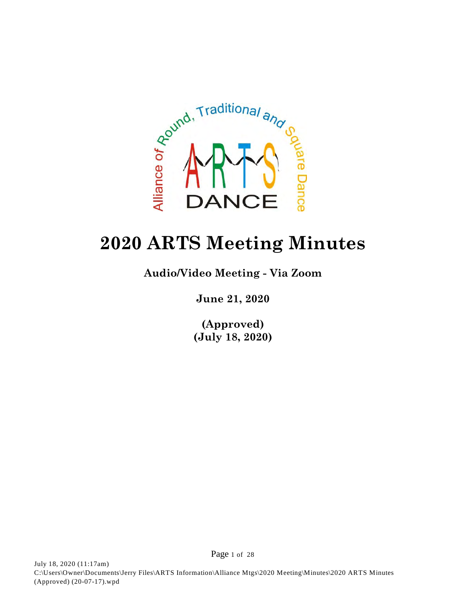

# **2020 ARTS Meeting Minutes**

**Audio/Video Meeting - Via Zoom**

**June 21, 2020**

**(Approved) (July 18, 2020)**

Page 1 of 28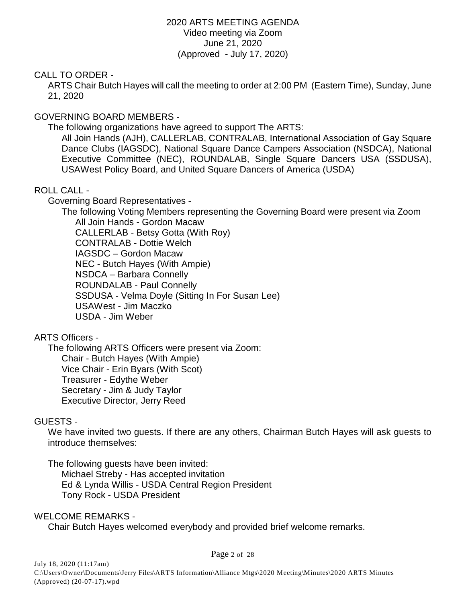### 2020 ARTS MEETING AGENDA Video meeting via Zoom June 21, 2020 (Approved - July 17, 2020)

### CALL TO ORDER -

ARTS Chair Butch Hayes will call the meeting to order at 2:00 PM (Eastern Time), Sunday, June 21, 2020

# GOVERNING BOARD MEMBERS -

The following organizations have agreed to support The ARTS:

All Join Hands (AJH), CALLERLAB, CONTRALAB, International Association of Gay Square Dance Clubs (IAGSDC), National Square Dance Campers Association (NSDCA), National Executive Committee (NEC), ROUNDALAB, Single Square Dancers USA (SSDUSA), USAWest Policy Board, and United Square Dancers of America (USDA)

# ROLL CALL -

Governing Board Representatives -

The following Voting Members representing the Governing Board were present via Zoom All Join Hands - Gordon Macaw

CALLERLAB - Betsy Gotta (With Roy) CONTRALAB - Dottie Welch IAGSDC – Gordon Macaw NEC - Butch Hayes (With Ampie) NSDCA – Barbara Connelly ROUNDALAB - Paul Connelly SSDUSA - Velma Doyle (Sitting In For Susan Lee) USAWest - Jim Maczko USDA - Jim Weber

# ARTS Officers -

The following ARTS Officers were present via Zoom: Chair - Butch Hayes (With Ampie) Vice Chair - Erin Byars (With Scot) Treasurer - Edythe Weber Secretary - Jim & Judy Taylor Executive Director, Jerry Reed

### GUESTS -

We have invited two guests. If there are any others, Chairman Butch Hayes will ask guests to introduce themselves:

The following guests have been invited: Michael Streby - Has accepted invitation Ed & Lynda Willis - USDA Central Region President Tony Rock - USDA President

WELCOME REMARKS - Chair Butch Hayes welcomed everybody and provided brief welcome remarks.

Page 2 of 28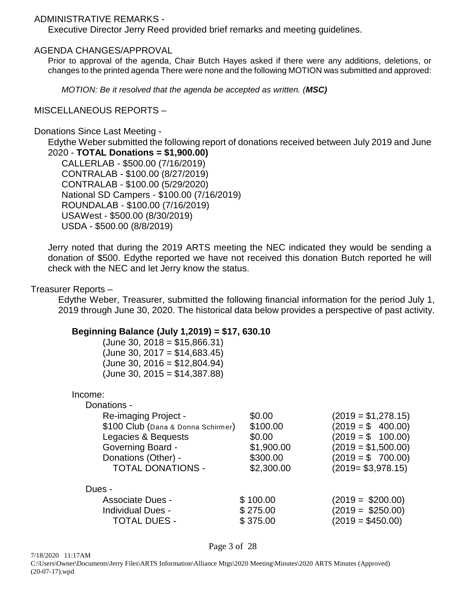### ADMINISTRATIVE REMARKS -

Executive Director Jerry Reed provided brief remarks and meeting guidelines.

### AGENDA CHANGES/APPROVAL

Prior to approval of the agenda, Chair Butch Hayes asked if there were any additions, deletions, or changes to the printed agenda There were none and the following MOTION was submitted and approved:

*MOTION: Be it resolved that the agenda be accepted as written. (MSC)*

### MISCELLANEOUS REPORTS –

### Donations Since Last Meeting -

Edythe Weber submitted the following report of donations received between July 2019 and June 2020 - **TOTAL Donations = \$1,900.00)**

CALLERLAB - \$500.00 (7/16/2019) CONTRALAB - \$100.00 (8/27/2019) CONTRALAB - \$100.00 (5/29/2020) National SD Campers - \$100.00 (7/16/2019) ROUNDALAB - \$100.00 (7/16/2019) USAWest - \$500.00 (8/30/2019) USDA - \$500.00 (8/8/2019)

Jerry noted that during the 2019 ARTS meeting the NEC indicated they would be sending a donation of \$500. Edythe reported we have not received this donation Butch reported he will check with the NEC and let Jerry know the status.

### Treasurer Reports –

Edythe Weber, Treasurer, submitted the following financial information for the period July 1, 2019 through June 30, 2020. The historical data below provides a perspective of past activity.

### **Beginning Balance (July 1,2019) = \$17, 630.10**

 $(June 30, 2018 = $15,866.31)$  $(June 30, 2017 = $14,683.45)$  $(June 30, 2016 = $12,804.94)$  $(June 30, 2015 = $14,387.88)$ 

| Income: |
|---------|
|---------|

Donations -

| Re-imaging Project -               | \$0.00     | $(2019 = $1,278.15)$ |
|------------------------------------|------------|----------------------|
| \$100 Club (Dana & Donna Schirmer) | \$100.00   | $(2019 = $ 400.00)$  |
| Legacies & Bequests                | \$0.00     | $(2019 = $ 100.00)$  |
| <b>Governing Board -</b>           | \$1,900.00 | $(2019 = $1,500.00)$ |
| Donations (Other) -                | \$300.00   | $(2019 = $ 700.00)$  |
| <b>TOTAL DONATIONS -</b>           | \$2,300.00 | $(2019 = $3,978.15)$ |
| Dues -                             |            |                      |
| <b>Associate Dues -</b>            | \$100.00   | $(2019 = $200.00)$   |
| <b>Individual Dues -</b>           | \$275.00   | $(2019 = $250.00)$   |
| <b>TOTAL DUES -</b>                | \$375.00   | $(2019 = $450.00)$   |

Page 3 of 28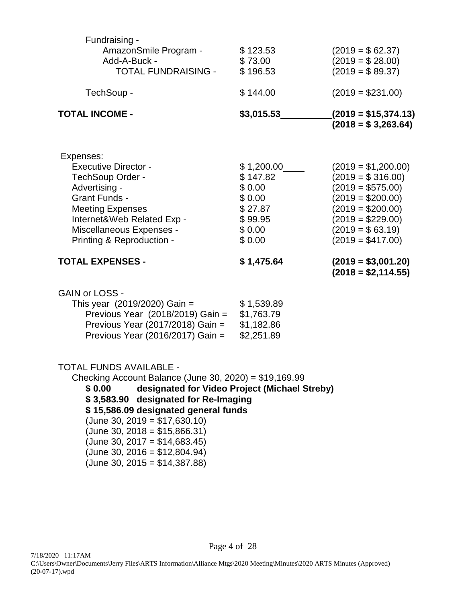| Fundraising -<br>AmazonSmile Program -<br>Add-A-Buck -<br><b>TOTAL FUNDRAISING -</b>                                                                                                                                    | \$123.53<br>\$73.00<br>\$196.53                                                      | $(2019 = $62.37)$<br>$(2019 = $28.00)$<br>$(2019 = $89.37)$                                                                                                                   |
|-------------------------------------------------------------------------------------------------------------------------------------------------------------------------------------------------------------------------|--------------------------------------------------------------------------------------|-------------------------------------------------------------------------------------------------------------------------------------------------------------------------------|
| TechSoup -                                                                                                                                                                                                              | \$144.00                                                                             | $(2019 = $231.00)$                                                                                                                                                            |
| TOTAL INCOME -                                                                                                                                                                                                          | \$3,015.53                                                                           | $(2019 = $15,374.13)$<br>$(2018 = $3,263.64)$                                                                                                                                 |
| Expenses:<br><b>Executive Director -</b><br>TechSoup Order -<br>Advertising -<br><b>Grant Funds -</b><br><b>Meeting Expenses</b><br>Internet&Web Related Exp -<br>Miscellaneous Expenses -<br>Printing & Reproduction - | \$1,200.00<br>\$147.82<br>\$0.00<br>\$0.00<br>\$27.87<br>\$99.95<br>\$0.00<br>\$0.00 | $(2019 = $1,200.00)$<br>$(2019 = $316.00)$<br>$(2019 = $575.00)$<br>$(2019 = $200.00)$<br>$(2019 = $200.00)$<br>$(2019 = $229.00)$<br>$(2019 = $63.19)$<br>$(2019 = $417.00)$ |
| TOTAL EXPENSES -                                                                                                                                                                                                        | \$1,475.64                                                                           | $(2019 = $3,001.20)$<br>$(2018 = $2,114.55)$                                                                                                                                  |

|  |  | <b>GAIN or LOSS -</b> |  |
|--|--|-----------------------|--|
|--|--|-----------------------|--|

| This year $(2019/2020)$ Gain =   | \$1,539.89 |
|----------------------------------|------------|
| Previous Year (2018/2019) Gain = | \$1,763.79 |
| Previous Year (2017/2018) Gain = | \$1,182.86 |
| Previous Year (2016/2017) Gain = | \$2,251.89 |

### TOTAL FUNDS AVAILABLE -

Checking Account Balance (June 30, 2020) = \$19,169.99 **\$ 0.00 designated for Video Project (Michael Streby) \$ 3,583.90 designated for Re-Imaging \$ 15,586.09 designated general funds** (June 30, 2019 = \$17,630.10) (June 30, 2018 = \$15,866.31)  $(June 30, 2017 = $14,683.45)$ (June 30, 2016 = \$12,804.94) (June 30, 2015 = \$14,387.88)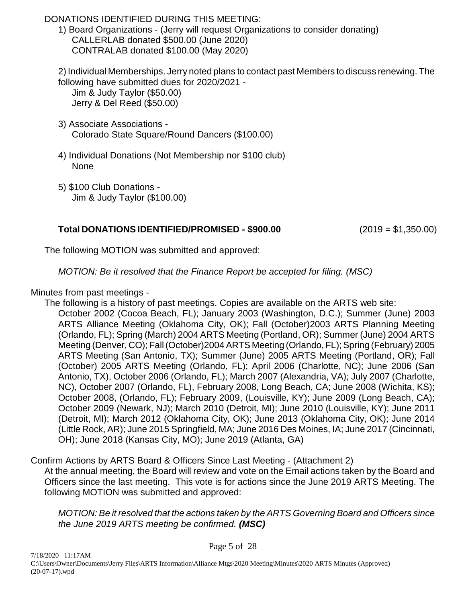# DONATIONS IDENTIFIED DURING THIS MEETING:

1) Board Organizations - (Jerry will request Organizations to consider donating) CALLERLAB donated \$500.00 (June 2020) CONTRALAB donated \$100.00 (May 2020)

2) Individual Memberships. Jerry noted plans to contact past Members to discuss renewing. The following have submitted dues for 2020/2021 -

Jim & Judy Taylor (\$50.00) Jerry & Del Reed (\$50.00)

- 3) Associate Associations Colorado State Square/Round Dancers (\$100.00)
- 4) Individual Donations (Not Membership nor \$100 club) None
- 5) \$100 Club Donations Jim & Judy Taylor (\$100.00)

# **Total DONATIONS IDENTIFIED/PROMISED - \$900.00** (2019 = \$1,350.00)

The following MOTION was submitted and approved:

*MOTION: Be it resolved that the Finance Report be accepted for filing. (MSC)*

Minutes from past meetings -

The following is a history of past meetings. Copies are available on the ARTS web site:

October 2002 (Cocoa Beach, FL); January 2003 (Washington, D.C.); Summer (June) 2003 ARTS Alliance Meeting (Oklahoma City, OK); Fall (October)2003 ARTS Planning Meeting (Orlando, FL); Spring (March) 2004 ARTS Meeting (Portland, OR); Summer (June) 2004 ARTS Meeting (Denver, CO); Fall (October)2004 ARTS Meeting (Orlando, FL); Spring (February) 2005 ARTS Meeting (San Antonio, TX); Summer (June) 2005 ARTS Meeting (Portland, OR); Fall (October) 2005 ARTS Meeting (Orlando, FL); April 2006 (Charlotte, NC); June 2006 (San Antonio, TX), October 2006 (Orlando, FL); March 2007 (Alexandria, VA); July 2007 (Charlotte, NC), October 2007 (Orlando, FL), February 2008, Long Beach, CA; June 2008 (Wichita, KS); October 2008, (Orlando, FL); February 2009, (Louisville, KY); June 2009 (Long Beach, CA); October 2009 (Newark, NJ); March 2010 (Detroit, MI); June 2010 (Louisville, KY); June 2011 (Detroit, MI); March 2012 (Oklahoma City, OK); June 2013 (Oklahoma City, OK); June 2014 (Little Rock, AR); June 2015 Springfield, MA; June 2016 Des Moines, IA; June 2017 (Cincinnati, OH); June 2018 (Kansas City, MO); June 2019 (Atlanta, GA)

Confirm Actions by ARTS Board & Officers Since Last Meeting - (Attachment 2)

At the annual meeting, the Board will review and vote on the Email actions taken by the Board and Officers since the last meeting. This vote is for actions since the June 2019 ARTS Meeting. The following MOTION was submitted and approved:

*MOTION: Be it resolved that the actions taken by the ARTS Governing Board and Officers since the June 2019 ARTS meeting be confirmed. (MSC)*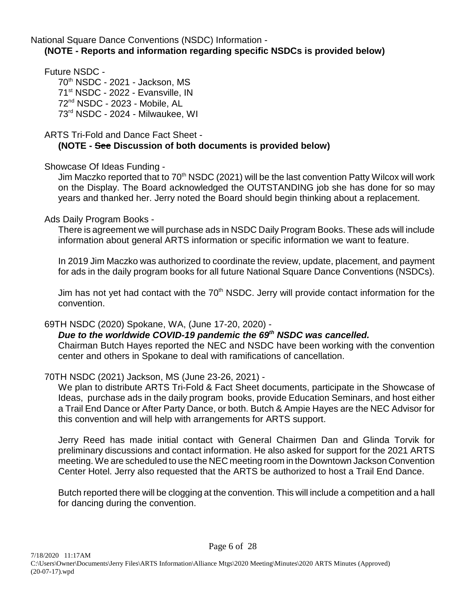National Square Dance Conventions (NSDC) Information - **(NOTE - Reports and information regarding specific NSDCs is provided below)** 

Future NSDC -

 $70<sup>th</sup>$  NSDC - 2021 - Jackson, MS 71<sup>st</sup> NSDC - 2022 - Evansville, IN 72<sup>nd</sup> NSDC - 2023 - Mobile, AL  $73<sup>rd</sup>$  NSDC - 2024 - Milwaukee, WI

ARTS Tri-Fold and Dance Fact Sheet -

# **(NOTE - See Discussion of both documents is provided below)**

Showcase Of Ideas Funding -

Jim Maczko reported that to  $70<sup>th</sup>$  NSDC (2021) will be the last convention Patty Wilcox will work on the Display. The Board acknowledged the OUTSTANDING job she has done for so may years and thanked her. Jerry noted the Board should begin thinking about a replacement.

Ads Daily Program Books -

There is agreement we will purchase ads in NSDC Daily Program Books. These ads will include information about general ARTS information or specific information we want to feature.

In 2019 Jim Maczko was authorized to coordinate the review, update, placement, and payment for ads in the daily program books for all future National Square Dance Conventions (NSDCs).

Jim has not yet had contact with the 70<sup>th</sup> NSDC. Jerry will provide contact information for the convention.

69TH NSDC (2020) Spokane, WA, (June 17-20, 2020) -

*Due to the worldwide COVID-19 pandemic the 69<sup>th</sup> NSDC was cancelled.* Chairman Butch Hayes reported the NEC and NSDC have been working with the convention center and others in Spokane to deal with ramifications of cancellation.

70TH NSDC (2021) Jackson, MS (June 23-26, 2021) -

We plan to distribute ARTS Tri-Fold & Fact Sheet documents, participate in the Showcase of Ideas, purchase ads in the daily program books, provide Education Seminars, and host either a Trail End Dance or After Party Dance, or both. Butch & Ampie Hayes are the NEC Advisor for this convention and will help with arrangements for ARTS support.

Jerry Reed has made initial contact with General Chairmen Dan and Glinda Torvik for preliminary discussions and contact information. He also asked for support for the 2021 ARTS meeting. We are scheduled to use the NEC meeting room in the Downtown Jackson Convention Center Hotel. Jerry also requested that the ARTS be authorized to host a Trail End Dance.

Butch reported there will be clogging at the convention. This will include a competition and a hall for dancing during the convention.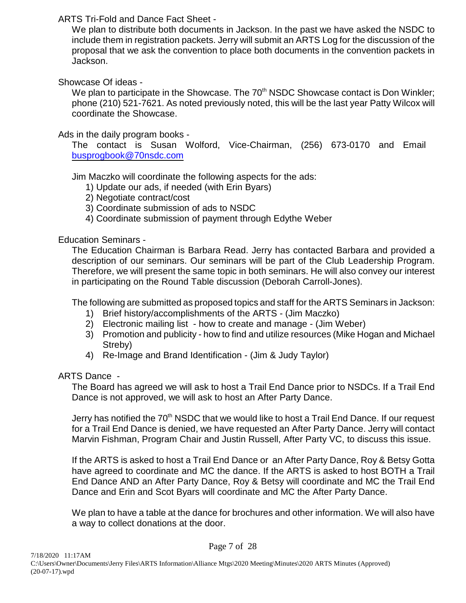# ARTS Tri-Fold and Dance Fact Sheet -

We plan to distribute both documents in Jackson. In the past we have asked the NSDC to include them in registration packets. Jerry will submit an ARTS Log for the discussion of the proposal that we ask the convention to place both documents in the convention packets in Jackson.

# Showcase Of ideas -

We plan to participate in the Showcase. The 70<sup>th</sup> NSDC Showcase contact is Don Winkler; phone (210) 521-7621. As noted previously noted, this will be the last year Patty Wilcox will coordinate the Showcase.

# Ads in the daily program books -

The contact is Susan Wolford, Vice-Chairman, (256) 673-0170 and Email [busprogbook@70nsdc.com](mailto:busprogbook@70nsdc.com)

Jim Maczko will coordinate the following aspects for the ads:

- 1) Update our ads, if needed (with Erin Byars)
- 2) Negotiate contract/cost
- 3) Coordinate submission of ads to NSDC
- 4) Coordinate submission of payment through Edythe Weber

# Education Seminars -

The Education Chairman is Barbara Read. Jerry has contacted Barbara and provided a description of our seminars. Our seminars will be part of the Club Leadership Program. Therefore, we will present the same topic in both seminars. He will also convey our interest in participating on the Round Table discussion (Deborah Carroll-Jones).

The following are submitted as proposed topics and staff for the ARTS Seminars in Jackson:

- 1) Brief history/accomplishments of the ARTS (Jim Maczko)
- 2) Electronic mailing list how to create and manage (Jim Weber)
- 3) Promotion and publicity how to find and utilize resources (Mike Hogan and Michael Streby)
- 4) Re-Image and Brand Identification (Jim & Judy Taylor)

### ARTS Dance -

The Board has agreed we will ask to host a Trail End Dance prior to NSDCs. If a Trail End Dance is not approved, we will ask to host an After Party Dance.

Jerry has notified the 70<sup>th</sup> NSDC that we would like to host a Trail End Dance. If our request for a Trail End Dance is denied, we have requested an After Party Dance. Jerry will contact Marvin Fishman, Program Chair and Justin Russell, After Party VC, to discuss this issue.

If the ARTS is asked to host a Trail End Dance or an After Party Dance, Roy & Betsy Gotta have agreed to coordinate and MC the dance. If the ARTS is asked to host BOTH a Trail End Dance AND an After Party Dance, Roy & Betsy will coordinate and MC the Trail End Dance and Erin and Scot Byars will coordinate and MC the After Party Dance.

We plan to have a table at the dance for brochures and other information. We will also have a way to collect donations at the door.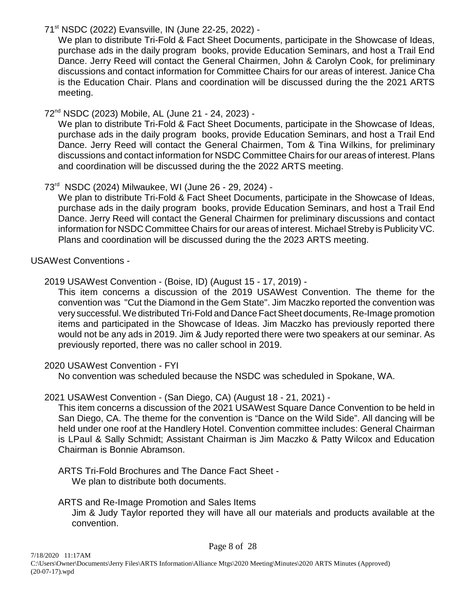# 71<sup>st</sup> NSDC (2022) Evansville, IN (June 22-25, 2022) -

We plan to distribute Tri-Fold & Fact Sheet Documents, participate in the Showcase of Ideas, purchase ads in the daily program books, provide Education Seminars, and host a Trail End Dance. Jerry Reed will contact the General Chairmen, John & Carolyn Cook, for preliminary discussions and contact information for Committee Chairs for our areas of interest. Janice Cha is the Education Chair. Plans and coordination will be discussed during the the 2021 ARTS meeting.

# 72 NSDC (2023) Mobile, AL (June 21 - 24, 2023) - nd

We plan to distribute Tri-Fold & Fact Sheet Documents, participate in the Showcase of Ideas, purchase ads in the daily program books, provide Education Seminars, and host a Trail End Dance. Jerry Reed will contact the General Chairmen, Tom & Tina Wilkins, for preliminary discussions and contact information for NSDC Committee Chairs for our areas of interest. Plans and coordination will be discussed during the the 2022 ARTS meeting.

# 73<sup>rd</sup> NSDC (2024) Milwaukee, WI (June 26 - 29, 2024) -

We plan to distribute Tri-Fold & Fact Sheet Documents, participate in the Showcase of Ideas, purchase ads in the daily program books, provide Education Seminars, and host a Trail End Dance. Jerry Reed will contact the General Chairmen for preliminary discussions and contact information for NSDC Committee Chairs for our areas of interest. Michael Streby is Publicity VC. Plans and coordination will be discussed during the the 2023 ARTS meeting.

USAWest Conventions -

# 2019 USAWest Convention - (Boise, ID) (August 15 - 17, 2019) -

This item concerns a discussion of the 2019 USAWest Convention. The theme for the convention was "Cut the Diamond in the Gem State". Jim Maczko reported the convention was very successful. We distributed Tri-Fold and Dance Fact Sheet documents, Re-Image promotion items and participated in the Showcase of Ideas. Jim Maczko has previously reported there would not be any ads in 2019. Jim & Judy reported there were two speakers at our seminar. As previously reported, there was no caller school in 2019.

# 2020 USAWest Convention - FYI

No convention was scheduled because the NSDC was scheduled in Spokane, WA.

# 2021 USAWest Convention - (San Diego, CA) (August 18 - 21, 2021) -

This item concerns a discussion of the 2021 USAWest Square Dance Convention to be held in San Diego, CA. The theme for the convention is "Dance on the Wild Side". All dancing will be held under one roof at the Handlery Hotel. Convention committee includes: General Chairman is LPaul & Sally Schmidt; Assistant Chairman is Jim Maczko & Patty Wilcox and Education Chairman is Bonnie Abramson.

ARTS Tri-Fold Brochures and The Dance Fact Sheet - We plan to distribute both documents.

# ARTS and Re-Image Promotion and Sales Items Jim & Judy Taylor reported they will have all our materials and products available at the convention.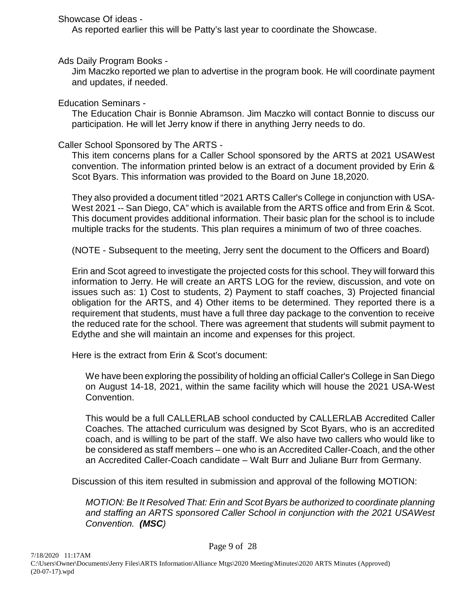Showcase Of ideas -

As reported earlier this will be Patty's last year to coordinate the Showcase.

Ads Daily Program Books -

Jim Maczko reported we plan to advertise in the program book. He will coordinate payment and updates, if needed.

Education Seminars -

The Education Chair is Bonnie Abramson. Jim Maczko will contact Bonnie to discuss our participation. He will let Jerry know if there in anything Jerry needs to do.

Caller School Sponsored by The ARTS -

This item concerns plans for a Caller School sponsored by the ARTS at 2021 USAWest convention. The information printed below is an extract of a document provided by Erin & Scot Byars. This information was provided to the Board on June 18,2020.

They also provided a document titled "2021 ARTS Caller's College in conjunction with USA-West 2021 -- San Diego, CA" which is available from the ARTS office and from Erin & Scot. This document provides additional information. Their basic plan for the school is to include multiple tracks for the students. This plan requires a minimum of two of three coaches.

(NOTE - Subsequent to the meeting, Jerry sent the document to the Officers and Board)

Erin and Scot agreed to investigate the projected costs for this school. They will forward this information to Jerry. He will create an ARTS LOG for the review, discussion, and vote on issues such as: 1) Cost to students, 2) Payment to staff coaches, 3) Projected financial obligation for the ARTS, and 4) Other items to be determined. They reported there is a requirement that students, must have a full three day package to the convention to receive the reduced rate for the school. There was agreement that students will submit payment to Edythe and she will maintain an income and expenses for this project.

Here is the extract from Erin & Scot's document:

We have been exploring the possibility of holding an official Caller's College in San Diego on August 14-18, 2021, within the same facility which will house the 2021 USA-West Convention.

This would be a full CALLERLAB school conducted by CALLERLAB Accredited Caller Coaches. The attached curriculum was designed by Scot Byars, who is an accredited coach, and is willing to be part of the staff. We also have two callers who would like to be considered as staff members – one who is an Accredited Caller-Coach, and the other an Accredited Caller-Coach candidate – Walt Burr and Juliane Burr from Germany.

Discussion of this item resulted in submission and approval of the following MOTION:

*MOTION: Be It Resolved That: Erin and Scot Byars be authorized to coordinate planning and staffing an ARTS sponsored Caller School in conjunction with the 2021 USAWest Convention. (MSC)*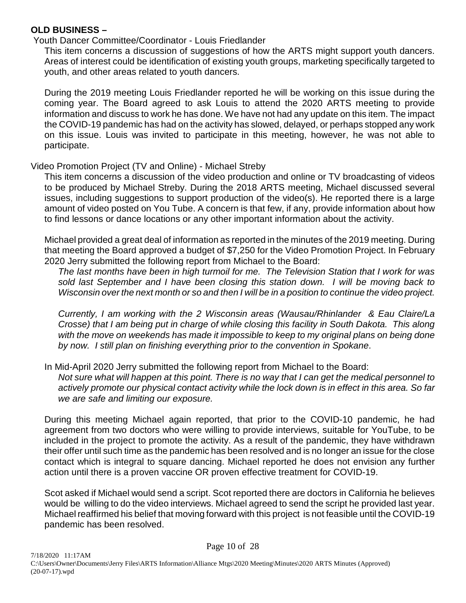# **OLD BUSINESS –**

Youth Dancer Committee/Coordinator - Louis Friedlander

This item concerns a discussion of suggestions of how the ARTS might support youth dancers. Areas of interest could be identification of existing youth groups, marketing specifically targeted to youth, and other areas related to youth dancers.

 During the 2019 meeting Louis Friedlander reported he will be working on this issue during the coming year. The Board agreed to ask Louis to attend the 2020 ARTS meeting to provide information and discuss to work he has done. We have not had any update on this item. The impact the COVID-19 pandemic has had on the activity has slowed, delayed, or perhaps stopped any work on this issue. Louis was invited to participate in this meeting, however, he was not able to participate.

# Video Promotion Project (TV and Online) - Michael Streby

This item concerns a discussion of the video production and online or TV broadcasting of videos to be produced by Michael Streby. During the 2018 ARTS meeting, Michael discussed several issues, including suggestions to support production of the video(s). He reported there is a large amount of video posted on You Tube. A concern is that few, if any, provide information about how to find lessons or dance locations or any other important information about the activity.

Michael provided a great deal of information as reported in the minutes of the 2019 meeting. During that meeting the Board approved a budget of \$7,250 for the Video Promotion Project. In February 2020 Jerry submitted the following report from Michael to the Board:

*The last months have been in high turmoil for me. The Television Station that I work for was sold last September and I have been closing this station down. I will be moving back to Wisconsin over the next month or so and then I will be in a position to continue the video project.*

*Currently, I am working with the 2 Wisconsin areas (Wausau/Rhinlander & Eau Claire/La Crosse) that I am being put in charge of while closing this facility in South Dakota. This along with the move on weekends has made it impossible to keep to my original plans on being done by now. I still plan on finishing everything prior to the convention in Spokane*.

In Mid-April 2020 Jerry submitted the following report from Michael to the Board:

*Not sure what will happen at this point. There is no way that I can get the medical personnel to actively promote our physical contact activity while the lock down is in effect in this area. So far we are safe and limiting our exposure.*

During this meeting Michael again reported, that prior to the COVID-10 pandemic, he had agreement from two doctors who were willing to provide interviews, suitable for YouTube, to be included in the project to promote the activity. As a result of the pandemic, they have withdrawn their offer until such time as the pandemic has been resolved and is no longer an issue for the close contact which is integral to square dancing. Michael reported he does not envision any further action until there is a proven vaccine OR proven effective treatment for COVID-19.

Scot asked if Michael would send a script. Scot reported there are doctors in California he believes would be willing to do the video interviews. Michael agreed to send the script he provided last year. Michael reaffirmed his belief that moving forward with this project is not feasible until the COVID-19 pandemic has been resolved.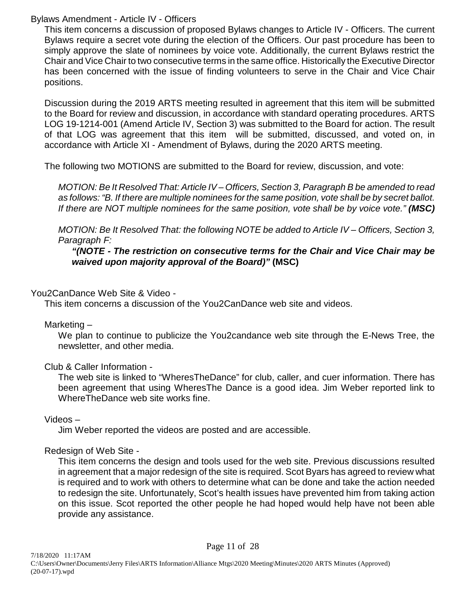# Bylaws Amendment - Article IV - Officers

This item concerns a discussion of proposed Bylaws changes to Article IV - Officers. The current Bylaws require a secret vote during the election of the Officers. Our past procedure has been to simply approve the slate of nominees by voice vote. Additionally, the current Bylaws restrict the Chair and Vice Chair to two consecutive terms in the same office. Historically the Executive Director has been concerned with the issue of finding volunteers to serve in the Chair and Vice Chair positions.

Discussion during the 2019 ARTS meeting resulted in agreement that this item will be submitted to the Board for review and discussion, in accordance with standard operating procedures. ARTS LOG 19-1214-001 (Amend Article IV, Section 3) was submitted to the Board for action. The result of that LOG was agreement that this item will be submitted, discussed, and voted on, in accordance with Article XI - Amendment of Bylaws, during the 2020 ARTS meeting.

The following two MOTIONS are submitted to the Board for review, discussion, and vote:

*MOTION: Be It Resolved That: Article IV – Officers, Section 3, Paragraph B be amended to read as follows: "B. If there are multiple nominees for the same position, vote shall be by secret ballot.* If there are NOT multiple nominees for the same position, vote shall be by voice vote." *(MSC)* 

*MOTION: Be It Resolved That: the following NOTE be added to Article IV – Officers, Section 3, Paragraph F:*

## *"(NOTE - The restriction on consecutive terms for the Chair and Vice Chair may be waived upon majority approval of the Board)"* **(MSC)**

# You2CanDance Web Site & Video -

This item concerns a discussion of the You2CanDance web site and videos.

### Marketing –

We plan to continue to publicize the You2candance web site through the E-News Tree, the newsletter, and other media.

# Club & Caller Information -

The web site is linked to "WheresTheDance" for club, caller, and cuer information. There has been agreement that using WheresThe Dance is a good idea. Jim Weber reported link to WhereTheDance web site works fine.

# Videos –

Jim Weber reported the videos are posted and are accessible.

# Redesign of Web Site -

This item concerns the design and tools used for the web site. Previous discussions resulted in agreement that a major redesign of the site is required. Scot Byars has agreed to review what is required and to work with others to determine what can be done and take the action needed to redesign the site. Unfortunately, Scot's health issues have prevented him from taking action on this issue. Scot reported the other people he had hoped would help have not been able provide any assistance.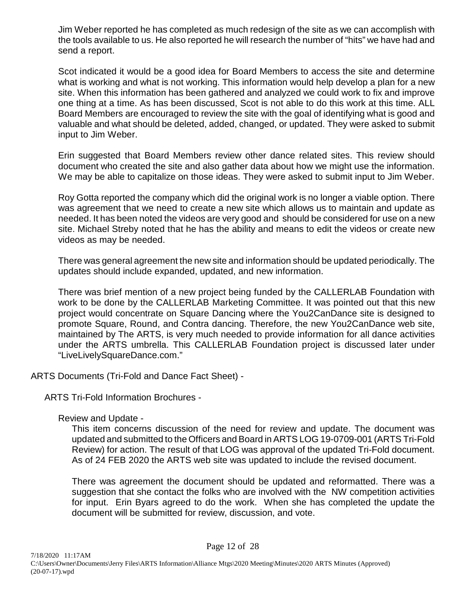Jim Weber reported he has completed as much redesign of the site as we can accomplish with the tools available to us. He also reported he will research the number of "hits" we have had and send a report.

Scot indicated it would be a good idea for Board Members to access the site and determine what is working and what is not working. This information would help develop a plan for a new site. When this information has been gathered and analyzed we could work to fix and improve one thing at a time. As has been discussed, Scot is not able to do this work at this time. ALL Board Members are encouraged to review the site with the goal of identifying what is good and valuable and what should be deleted, added, changed, or updated. They were asked to submit input to Jim Weber.

Erin suggested that Board Members review other dance related sites. This review should document who created the site and also gather data about how we might use the information. We may be able to capitalize on those ideas. They were asked to submit input to Jim Weber.

Roy Gotta reported the company which did the original work is no longer a viable option. There was agreement that we need to create a new site which allows us to maintain and update as needed. It has been noted the videos are very good and should be considered for use on a new site. Michael Streby noted that he has the ability and means to edit the videos or create new videos as may be needed.

There was general agreement the new site and information should be updated periodically. The updates should include expanded, updated, and new information.

There was brief mention of a new project being funded by the CALLERLAB Foundation with work to be done by the CALLERLAB Marketing Committee. It was pointed out that this new project would concentrate on Square Dancing where the You2CanDance site is designed to promote Square, Round, and Contra dancing. Therefore, the new You2CanDance web site, maintained by The ARTS, is very much needed to provide information for all dance activities under the ARTS umbrella. This CALLERLAB Foundation project is discussed later under "LiveLivelySquareDance.com."

ARTS Documents (Tri-Fold and Dance Fact Sheet) -

ARTS Tri-Fold Information Brochures -

Review and Update -

This item concerns discussion of the need for review and update. The document was updated and submitted to the Officers and Board in ARTS LOG 19-0709-001 (ARTS Tri-Fold Review) for action. The result of that LOG was approval of the updated Tri-Fold document. As of 24 FEB 2020 the ARTS web site was updated to include the revised document.

There was agreement the document should be updated and reformatted. There was a suggestion that she contact the folks who are involved with the NW competition activities for input. Erin Byars agreed to do the work. When she has completed the update the document will be submitted for review, discussion, and vote.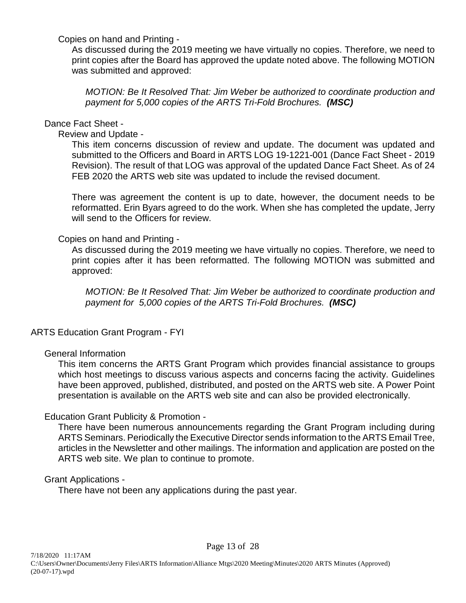Copies on hand and Printing -

As discussed during the 2019 meeting we have virtually no copies. Therefore, we need to print copies after the Board has approved the update noted above. The following MOTION was submitted and approved:

*MOTION: Be It Resolved That: Jim Weber be authorized to coordinate production and payment for 5,000 copies of the ARTS Tri-Fold Brochures. (MSC)*

# Dance Fact Sheet -

Review and Update -

This item concerns discussion of review and update. The document was updated and submitted to the Officers and Board in ARTS LOG 19-1221-001 (Dance Fact Sheet - 2019 Revision). The result of that LOG was approval of the updated Dance Fact Sheet. As of 24 FEB 2020 the ARTS web site was updated to include the revised document.

There was agreement the content is up to date, however, the document needs to be reformatted. Erin Byars agreed to do the work. When she has completed the update, Jerry will send to the Officers for review.

# Copies on hand and Printing -

As discussed during the 2019 meeting we have virtually no copies. Therefore, we need to print copies after it has been reformatted. The following MOTION was submitted and approved:

*MOTION: Be It Resolved That: Jim Weber be authorized to coordinate production and payment for 5,000 copies of the ARTS Tri-Fold Brochures. (MSC)*

# ARTS Education Grant Program - FYI

# General Information

This item concerns the ARTS Grant Program which provides financial assistance to groups which host meetings to discuss various aspects and concerns facing the activity. Guidelines have been approved, published, distributed, and posted on the ARTS web site. A Power Point presentation is available on the ARTS web site and can also be provided electronically.

# Education Grant Publicity & Promotion -

There have been numerous announcements regarding the Grant Program including during ARTS Seminars. Periodically the Executive Director sends information to the ARTS Email Tree, articles in the Newsletter and other mailings. The information and application are posted on the ARTS web site. We plan to continue to promote.

# Grant Applications -

There have not been any applications during the past year.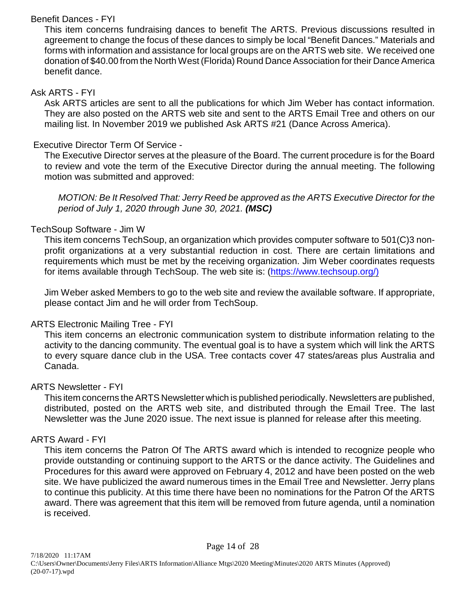# Benefit Dances - FYI

This item concerns fundraising dances to benefit The ARTS. Previous discussions resulted in agreement to change the focus of these dances to simply be local "Benefit Dances." Materials and forms with information and assistance for local groups are on the ARTS web site. We received one donation of \$40.00 from the North West (Florida) Round Dance Association for their Dance America benefit dance.

## Ask ARTS - FYI

Ask ARTS articles are sent to all the publications for which Jim Weber has contact information. They are also posted on the ARTS web site and sent to the ARTS Email Tree and others on our mailing list. In November 2019 we published Ask ARTS #21 (Dance Across America).

# Executive Director Term Of Service -

The Executive Director serves at the pleasure of the Board. The current procedure is for the Board to review and vote the term of the Executive Director during the annual meeting. The following motion was submitted and approved:

*MOTION: Be It Resolved That: Jerry Reed be approved as the ARTS Executive Director for the period of July 1, 2020 through June 30, 2021. (MSC)*

# TechSoup Software - Jim W

This item concerns TechSoup, an organization which provides computer software to 501(C)3 nonprofit organizations at a very substantial reduction in cost. There are certain limitations and requirements which must be met by the receiving organization. Jim Weber coordinates requests for items available through TechSoup. The web site is: [\(https://www.techsoup.org/\)](http://(https://www.techsoup.org/))

Jim Weber asked Members to go to the web site and review the available software. If appropriate, please contact Jim and he will order from TechSoup.

# ARTS Electronic Mailing Tree - FYI

This item concerns an electronic communication system to distribute information relating to the activity to the dancing community. The eventual goal is to have a system which will link the ARTS to every square dance club in the USA. Tree contacts cover 47 states/areas plus Australia and Canada.

# ARTS Newsletter - FYI

This item concerns the ARTS Newsletter which is published periodically. Newsletters are published, distributed, posted on the ARTS web site, and distributed through the Email Tree. The last Newsletter was the June 2020 issue. The next issue is planned for release after this meeting.

# ARTS Award - FYI

This item concerns the Patron Of The ARTS award which is intended to recognize people who provide outstanding or continuing support to the ARTS or the dance activity. The Guidelines and Procedures for this award were approved on February 4, 2012 and have been posted on the web site. We have publicized the award numerous times in the Email Tree and Newsletter. Jerry plans to continue this publicity. At this time there have been no nominations for the Patron Of the ARTS award. There was agreement that this item will be removed from future agenda, until a nomination is received.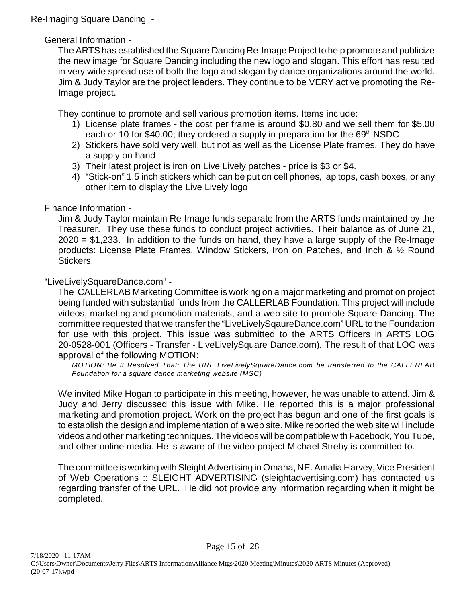Re-Imaging Square Dancing -

# General Information -

The ARTS has established the Square Dancing Re-Image Project to help promote and publicize the new image for Square Dancing including the new logo and slogan. This effort has resulted in very wide spread use of both the logo and slogan by dance organizations around the world. Jim & Judy Taylor are the project leaders. They continue to be VERY active promoting the Re-Image project.

They continue to promote and sell various promotion items. Items include:

- 1) License plate frames the cost per frame is around \$0.80 and we sell them for \$5.00 each or 10 for \$40.00; they ordered a supply in preparation for the  $69<sup>th</sup>$  NSDC
- 2) Stickers have sold very well, but not as well as the License Plate frames. They do have a supply on hand
- 3) Their latest project is iron on Live Lively patches price is \$3 or \$4.
- 4) "Stick-on" 1.5 inch stickers which can be put on cell phones, lap tops, cash boxes, or any other item to display the Live Lively logo

# Finance Information -

Jim & Judy Taylor maintain Re-Image funds separate from the ARTS funds maintained by the Treasurer. They use these funds to conduct project activities. Their balance as of June 21, 2020 = \$1,233. In addition to the funds on hand, they have a large supply of the Re-Image products: License Plate Frames, Window Stickers, Iron on Patches, and Inch & ½ Round Stickers.

# "LiveLivelySquareDance.com" -

The CALLERLAB Marketing Committee is working on a major marketing and promotion project being funded with substantial funds from the CALLERLAB Foundation. This project will include videos, marketing and promotion materials, and a web site to promote Square Dancing. The committee requested that we transfer the "LiveLivelySqaureDance.com" URL to the Foundation for use with this project. This issue was submitted to the ARTS Officers in ARTS LOG 20-0528-001 (Officers - Transfer - LiveLivelySquare Dance.com). The result of that LOG was approval of the following MOTION:

*MOTION: Be It Resolved That: The URL LiveLivelySquareDance.com be transferred to the CALLERLAB Foundation for a square dance marketing website (MSC)*

We invited Mike Hogan to participate in this meeting, however, he was unable to attend. Jim & Judy and Jerry discussed this issue with Mike. He reported this is a major professional marketing and promotion project. Work on the project has begun and one of the first goals is to establish the design and implementation of a web site. Mike reported the web site will include videos and other marketing techniques. The videos will be compatible with Facebook, You Tube, and other online media. He is aware of the video project Michael Streby is committed to.

The committee is working with Sleight Advertising in Omaha, NE. Amalia Harvey, Vice President of Web Operations :: SLEIGHT ADVERTISING (sleightadvertising.com) has contacted us regarding transfer of the URL. He did not provide any information regarding when it might be completed.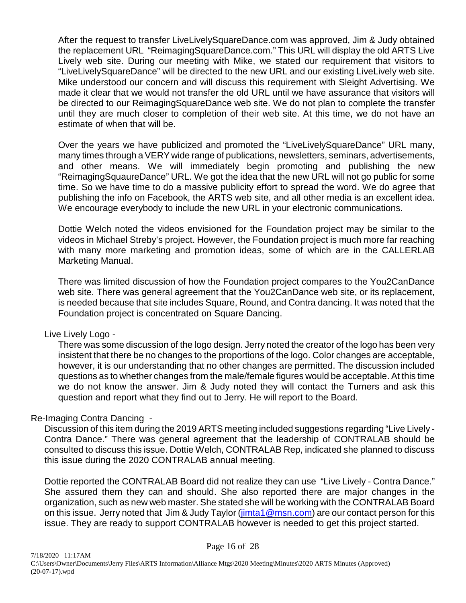After the request to transfer LiveLivelySquareDance.com was approved, Jim & Judy obtained the replacement URL "ReimagingSquareDance.com." This URL will display the old ARTS Live Lively web site. During our meeting with Mike, we stated our requirement that visitors to "LiveLivelySquareDance" will be directed to the new URL and our existing LiveLively web site. Mike understood our concern and will discuss this requirement with Sleight Advertising. We made it clear that we would not transfer the old URL until we have assurance that visitors will be directed to our ReimagingSquareDance web site. We do not plan to complete the transfer until they are much closer to completion of their web site. At this time, we do not have an estimate of when that will be.

Over the years we have publicized and promoted the "LiveLivelySquareDance" URL many, many times through a VERY wide range of publications, newsletters, seminars, advertisements, and other means. We will immediately begin promoting and publishing the new "ReimagingSquaureDance" URL. We got the idea that the new URL will not go public for some time. So we have time to do a massive publicity effort to spread the word. We do agree that publishing the info on Facebook, the ARTS web site, and all other media is an excellent idea. We encourage everybody to include the new URL in your electronic communications.

Dottie Welch noted the videos envisioned for the Foundation project may be similar to the videos in Michael Streby's project. However, the Foundation project is much more far reaching with many more marketing and promotion ideas, some of which are in the CALLERLAB Marketing Manual.

There was limited discussion of how the Foundation project compares to the You2CanDance web site. There was general agreement that the You2CanDance web site, or its replacement, is needed because that site includes Square, Round, and Contra dancing. It was noted that the Foundation project is concentrated on Square Dancing.

### Live Lively Logo -

There was some discussion of the logo design. Jerry noted the creator of the logo has been very insistent that there be no changes to the proportions of the logo. Color changes are acceptable, however, it is our understanding that no other changes are permitted. The discussion included questions as to whether changes from the male/female figures would be acceptable. At this time we do not know the answer. Jim & Judy noted they will contact the Turners and ask this question and report what they find out to Jerry. He will report to the Board.

# Re-Imaging Contra Dancing -

Discussion of this item during the 2019 ARTS meeting included suggestions regarding "Live Lively - Contra Dance." There was general agreement that the leadership of CONTRALAB should be consulted to discuss this issue. Dottie Welch, CONTRALAB Rep, indicated she planned to discuss this issue during the 2020 CONTRALAB annual meeting.

Dottie reported the CONTRALAB Board did not realize they can use "Live Lively - Contra Dance." She assured them they can and should. She also reported there are major changes in the organization, such as new web master. She stated she will be working with the CONTRALAB Board on this issue. Jerry noted that Jim & Judy Taylor [\(jimta1@msn.com](mailto:jimta1@msn.com)) are our contact person for this issue. They are ready to support CONTRALAB however is needed to get this project started.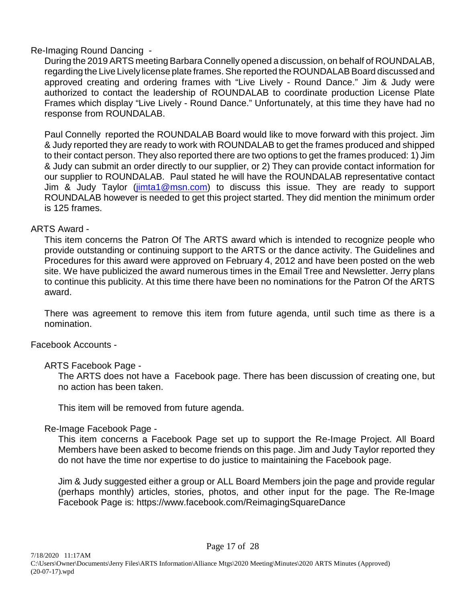# Re-Imaging Round Dancing -

During the 2019 ARTS meeting Barbara Connelly opened a discussion, on behalf of ROUNDALAB, regarding the Live Lively license plate frames. She reported the ROUNDALAB Board discussed and approved creating and ordering frames with "Live Lively - Round Dance." Jim & Judy were authorized to contact the leadership of ROUNDALAB to coordinate production License Plate Frames which display "Live Lively - Round Dance." Unfortunately, at this time they have had no response from ROUNDALAB.

Paul Connelly reported the ROUNDALAB Board would like to move forward with this project. Jim & Judy reported they are ready to work with ROUNDALAB to get the frames produced and shipped to their contact person. They also reported there are two options to get the frames produced: 1) Jim & Judy can submit an order directly to our supplier, or 2) They can provide contact information for our supplier to ROUNDALAB. Paul stated he will have the ROUNDALAB representative contact Jim & Judy Taylor [\(jimta1@msn.com](mailto:jimta1@msn.com)) to discuss this issue. They are ready to support ROUNDALAB however is needed to get this project started. They did mention the minimum order is 125 frames.

# ARTS Award -

This item concerns the Patron Of The ARTS award which is intended to recognize people who provide outstanding or continuing support to the ARTS or the dance activity. The Guidelines and Procedures for this award were approved on February 4, 2012 and have been posted on the web site. We have publicized the award numerous times in the Email Tree and Newsletter. Jerry plans to continue this publicity. At this time there have been no nominations for the Patron Of the ARTS award.

There was agreement to remove this item from future agenda, until such time as there is a nomination.

Facebook Accounts -

# ARTS Facebook Page -

The ARTS does not have a Facebook page. There has been discussion of creating one, but no action has been taken.

This item will be removed from future agenda.

Re-Image Facebook Page -

This item concerns a Facebook Page set up to support the Re-Image Project. All Board Members have been asked to become friends on this page. Jim and Judy Taylor reported they do not have the time nor expertise to do justice to maintaining the Facebook page.

Jim & Judy suggested either a group or ALL Board Members join the page and provide regular (perhaps monthly) articles, stories, photos, and other input for the page. The Re-Image Facebook Page is: https://www.facebook.com/ReimagingSquareDance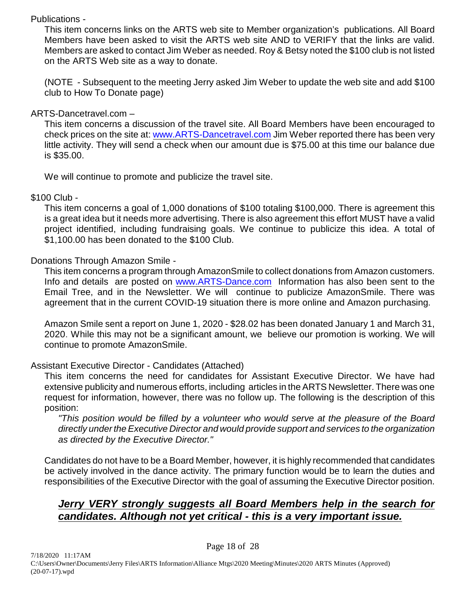# Publications -

This item concerns links on the ARTS web site to Member organization's publications. All Board Members have been asked to visit the ARTS web site AND to VERIFY that the links are valid. Members are asked to contact Jim Weber as needed. Roy & Betsy noted the \$100 club is not listed on the ARTS Web site as a way to donate.

(NOTE - Subsequent to the meeting Jerry asked Jim Weber to update the web site and add \$100 club to How To Donate page)

# ARTS-Dancetravel.com –

This item concerns a discussion of the travel site. All Board Members have been encouraged to check prices on the site at: [www.ARTS-Dancetravel.com](http://www.ARTS-Dancetravel.com) Jim Weber reported there has been very little activity. They will send a check when our amount due is \$75.00 at this time our balance due is \$35.00.

We will continue to promote and publicize the travel site.

# \$100 Club -

This item concerns a goal of 1,000 donations of \$100 totaling \$100,000. There is agreement this is a great idea but it needs more advertising. There is also agreement this effort MUST have a valid project identified, including fundraising goals. We continue to publicize this idea. A total of \$1,100.00 has been donated to the \$100 Club.

# Donations Through Amazon Smile -

This item concerns a program through AmazonSmile to collect donations from Amazon customers. Info and details are posted on [www.ARTS-Dance.com](http://www.ARTS-Dance.com) Information has also been sent to the Email Tree, and in the Newsletter. We will continue to publicize AmazonSmile. There was agreement that in the current COVID-19 situation there is more online and Amazon purchasing.

Amazon Smile sent a report on June 1, 2020 - \$28.02 has been donated January 1 and March 31, 2020. While this may not be a significant amount, we believe our promotion is working. We will continue to promote AmazonSmile.

# Assistant Executive Director - Candidates (Attached)

This item concerns the need for candidates for Assistant Executive Director. We have had extensive publicity and numerous efforts, including articles in the ARTS Newsletter. There was one request for information, however, there was no follow up. The following is the description of this position:

*"This position would be filled by a volunteer who would serve at the pleasure of the Board directly under the Executive Director and would provide support and services to the organization as directed by the Executive Director."*

Candidates do not have to be a Board Member, however, it is highly recommended that candidates be actively involved in the dance activity. The primary function would be to learn the duties and responsibilities of the Executive Director with the goal of assuming the Executive Director position.

# *Jerry VERY strongly suggests all Board Members help in the search for candidates. Although not yet critical - this is a very important issue.*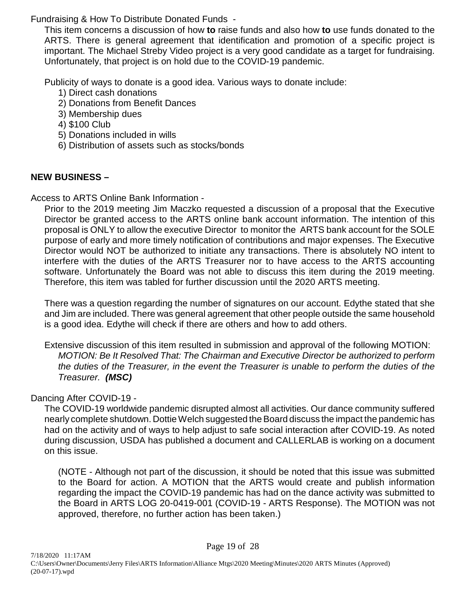Fundraising & How To Distribute Donated Funds -

This item concerns a discussion of how **to** raise funds and also how **to** use funds donated to the ARTS. There is general agreement that identification and promotion of a specific project is important. The Michael Streby Video project is a very good candidate as a target for fundraising. Unfortunately, that project is on hold due to the COVID-19 pandemic.

Publicity of ways to donate is a good idea. Various ways to donate include:

- 1) Direct cash donations
- 2) Donations from Benefit Dances
- 3) Membership dues
- 4) \$100 Club
- 5) Donations included in wills
- 6) Distribution of assets such as stocks/bonds

# **NEW BUSINESS –**

Access to ARTS Online Bank Information -

Prior to the 2019 meeting Jim Maczko requested a discussion of a proposal that the Executive Director be granted access to the ARTS online bank account information. The intention of this proposal is ONLY to allow the executive Director to monitor the ARTS bank account for the SOLE purpose of early and more timely notification of contributions and major expenses. The Executive Director would NOT be authorized to initiate any transactions. There is absolutely NO intent to interfere with the duties of the ARTS Treasurer nor to have access to the ARTS accounting software. Unfortunately the Board was not able to discuss this item during the 2019 meeting. Therefore, this item was tabled for further discussion until the 2020 ARTS meeting.

There was a question regarding the number of signatures on our account. Edythe stated that she and Jim are included. There was general agreement that other people outside the same household is a good idea. Edythe will check if there are others and how to add others.

Extensive discussion of this item resulted in submission and approval of the following MOTION: *MOTION: Be It Resolved That: The Chairman and Executive Director be authorized to perform the duties of the Treasurer, in the event the Treasurer is unable to perform the duties of the Treasurer. (MSC)*

# Dancing After COVID-19 -

The COVID-19 worldwide pandemic disrupted almost all activities. Our dance community suffered nearly complete shutdown. Dottie Welch suggested the Board discuss the impact the pandemic has had on the activity and of ways to help adjust to safe social interaction after COVID-19. As noted during discussion, USDA has published a document and CALLERLAB is working on a document on this issue.

(NOTE - Although not part of the discussion, it should be noted that this issue was submitted to the Board for action. A MOTION that the ARTS would create and publish information regarding the impact the COVID-19 pandemic has had on the dance activity was submitted to the Board in ARTS LOG 20-0419-001 (COVID-19 - ARTS Response). The MOTION was not approved, therefore, no further action has been taken.)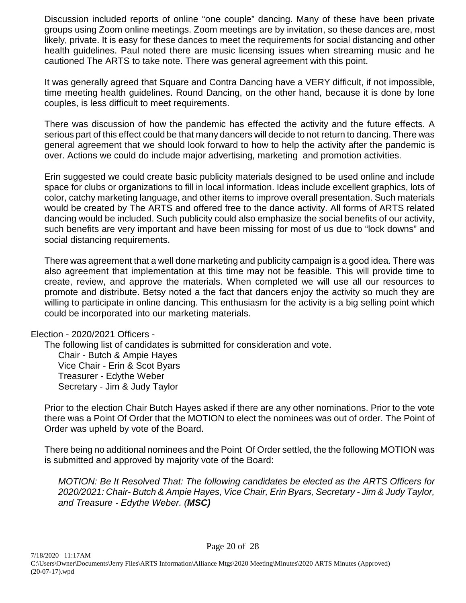Discussion included reports of online "one couple" dancing. Many of these have been private groups using Zoom online meetings. Zoom meetings are by invitation, so these dances are, most likely, private. It is easy for these dances to meet the requirements for social distancing and other health guidelines. Paul noted there are music licensing issues when streaming music and he cautioned The ARTS to take note. There was general agreement with this point.

It was generally agreed that Square and Contra Dancing have a VERY difficult, if not impossible, time meeting health guidelines. Round Dancing, on the other hand, because it is done by lone couples, is less difficult to meet requirements.

There was discussion of how the pandemic has effected the activity and the future effects. A serious part of this effect could be that many dancers will decide to not return to dancing. There was general agreement that we should look forward to how to help the activity after the pandemic is over. Actions we could do include major advertising, marketing and promotion activities.

Erin suggested we could create basic publicity materials designed to be used online and include space for clubs or organizations to fill in local information. Ideas include excellent graphics, lots of color, catchy marketing language, and other items to improve overall presentation. Such materials would be created by The ARTS and offered free to the dance activity. All forms of ARTS related dancing would be included. Such publicity could also emphasize the social benefits of our activity, such benefits are very important and have been missing for most of us due to "lock downs" and social distancing requirements.

There was agreement that a well done marketing and publicity campaign is a good idea. There was also agreement that implementation at this time may not be feasible. This will provide time to create, review, and approve the materials. When completed we will use all our resources to promote and distribute. Betsy noted a the fact that dancers enjoy the activity so much they are willing to participate in online dancing. This enthusiasm for the activity is a big selling point which could be incorporated into our marketing materials.

### Election - 2020/2021 Officers -

The following list of candidates is submitted for consideration and vote.

Chair - Butch & Ampie Hayes Vice Chair - Erin & Scot Byars Treasurer - Edythe Weber Secretary - Jim & Judy Taylor

Prior to the election Chair Butch Hayes asked if there are any other nominations. Prior to the vote there was a Point Of Order that the MOTION to elect the nominees was out of order. The Point of Order was upheld by vote of the Board.

There being no additional nominees and the Point Of Order settled, the the following MOTION was is submitted and approved by majority vote of the Board:

*MOTION: Be It Resolved That: The following candidates be elected as the ARTS Officers for 2020/2021: Chair- Butch & Ampie Hayes, Vice Chair, Erin Byars, Secretary - Jim & Judy Taylor, and Treasure - Edythe Weber. (MSC)*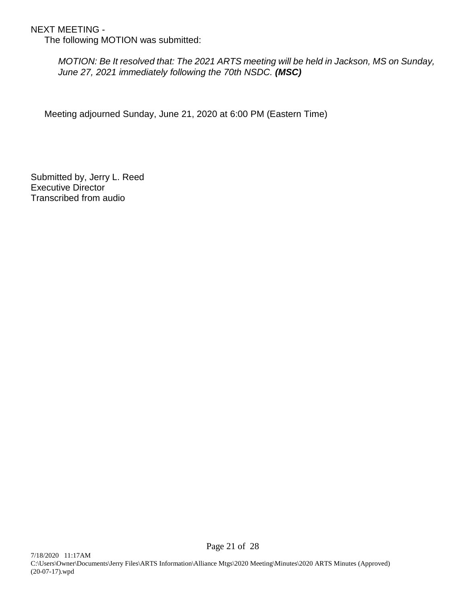NEXT MEETING -

The following MOTION was submitted:

*MOTION: Be It resolved that: The 2021 ARTS meeting will be held in Jackson, MS on Sunday, June 27, 2021 immediately following the 70th NSDC. (MSC)*

Meeting adjourned Sunday, June 21, 2020 at 6:00 PM (Eastern Time)

Submitted by, Jerry L. Reed Executive Director Transcribed from audio

Page 21 of 28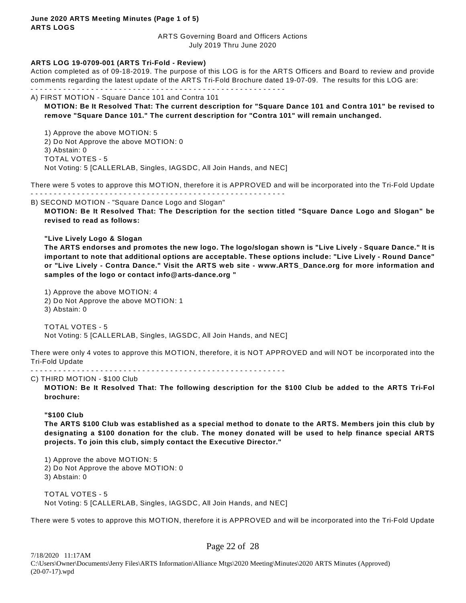### **June 2020 ARTS Meeting Minutes (Page 1 of 5) ARTS LOGS**

ARTS Governing Board and Officers Actions July 2019 Thru June 2020

### **ARTS LOG 19-0709-001 (ARTS Tri-Fold - Review)**

Action completed as of 09-18-2019. The purpose of this LOG is for the ARTS Officers and Board to review and provide comments regarding the latest update of the ARTS Tri-Fold Brochure dated 19-07-09. The results for this LOG are: - - - - - - - - - - - - - - - - - - - - - - - - - - - - - - - - - - - - - - - - - - - - - - - - - - - - - - -

A) FIRST MOTION - Square Dance 101 and Contra 101

**MOTION: Be It Resolved That: The current description for "Square Dance 101 and Contra 101" be revised to remove "Square Dance 101." The current description for "Contra 101" will remain unchanged.**

1) Approve the above MOTION: 5 2) Do Not Approve the above MOTION: 0 3) Abstain: 0 TOTAL VOTES - 5 Not Voting: 5 [CALLERLAB, Singles, IAGSDC, All Join Hands, and NEC]

There were 5 votes to approve this MOTION, therefore it is APPROVED and will be incorporated into the Tri-Fold Update - - - - - - - - - - - - - - - - - - - - - - - - - - - - - - - - - - - - - - - - - - - - - - - - - - - - - - -

B) SECOND MOTION - "Square Dance Logo and Slogan"

**MOTION: Be It Resolved That: The Description for the section titled "Square Dance Logo and Slogan" be revised to read as follows:**

### **"Live Lively Logo & Slogan**

**The ARTS endorses and promotes the new logo. The logo/slogan shown is "Live Lively - Square Dance." It is important to note that additional options are acceptable. These options include: "Live Lively - Round Dance" or "Live Lively - Contra Dance." Visit the ARTS web site - www.ARTS\_Dance.org for more information and samples of the logo or contact info@arts-dance.org "**

1) Approve the above MOTION: 4 2) Do Not Approve the above MOTION: 1 3) Abstain: 0

TOTAL VOTES - 5 Not Voting: 5 [CALLERLAB, Singles, IAGSDC, All Join Hands, and NEC]

There were only 4 votes to approve this MOTION, therefore, it is NOT APPROVED and will NOT be incorporated into the Tri-Fold Update

- - - - - - - - - - - - - - - - - - - - - - - - - - - - - - - - - - - - - - - - - - - - - - - - - - - - - - -

#### C) THIRD MOTION - \$100 Club

**MOTION: Be It Resolved That: The following description for the \$100 Club be added to the ARTS Tri-Fol brochure:**

### **"\$100 Club**

**The ARTS \$100 Club was established as a special method to donate to the ARTS. Members join this club by designating a \$100 donation for the club. The money donated will be used to help finance special ARTS projects. To join this club, simply contact the Executive Director."**

1) Approve the above MOTION: 5

2) Do Not Approve the above MOTION: 0

3) Abstain: 0

TOTAL VOTES - 5 Not Voting: 5 [CALLERLAB, Singles, IAGSDC, All Join Hands, and NEC]

There were 5 votes to approve this MOTION, therefore it is APPROVED and will be incorporated into the Tri-Fold Update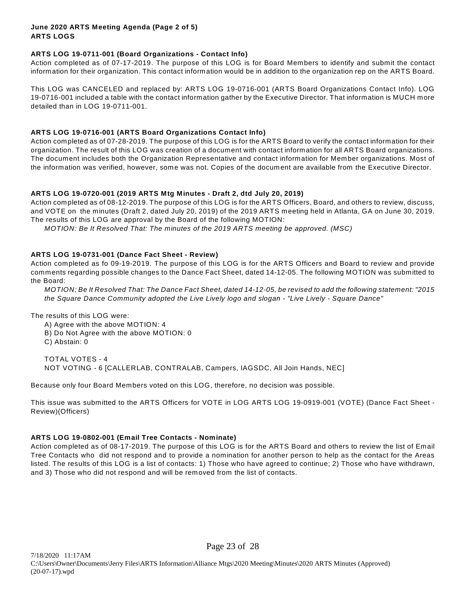### **June 2020 ARTS Meeting Agenda (Page 2 of 5) ARTS LOGS**

### **ARTS LOG 19-0711-001 (Board Organizations - Contact Info)**

Action completed as of 07-17-2019. The purpose of this LOG is for Board Members to identify and submit the contact information for their organization. This contact information would be in addition to the organization rep on the ARTS Board.

This LOG was CANCELED and replaced by: ARTS LOG 19-0716-001 (ARTS Board Organizations Contact Info). LOG 19-0716-001 included a table with the contact information gather by the Executive Director. That information is MUCH more detailed than in LOG 19-0711-001.

### **ARTS LOG 19-0716-001 (ARTS Board Organizations Contact Info)**

Action completed as of 07-28-2019. The purpose of this LOG is for the ARTS Board to verify the contact information for their organization. The result of this LOG was creation of a document with contact information for all ARTS Board organizations. The document includes both the Organization Representative and contact information for Member organizations. Most of the information was verified, however, some was not. Copies of the document are available from the Executive Director.

### **ARTS LOG 19-0720-001 (2019 ARTS Mtg Minutes - Draft 2, dtd July 20, 2019)**

Action completed as of 08-12-2019. The purpose of this LOG is for the ARTS Officers, Board, and others to review, discuss, and VOTE on the minutes (Draft 2, dated July 20, 2019) of the 2019 ARTS meeting held in Atlanta, GA on June 30, 2019. The results of this LOG are approval by the Board of the following MOTION:

*MOTION: Be It Resolved That: The minutes of the 2019 ARTS meeting be approved. (MSC)*

### **ARTS LOG 19-0731-001 (Dance Fact Sheet - Review)**

Action completed as fo 09-19-2019. The purpose of this LOG is for the ARTS Officers and Board to review and provide comments regarding possible changes to the Dance Fact Sheet, dated 14-12-05. The following MOTION was submitted to the Board:

*MOTION; Be It Resolved That: The Dance Fact Sheet, dated 14-12-05, be revised to add the following statement: "2015 the Square Dance Community adopted the Live Lively logo and slogan - "Live Lively - Square Dance"* 

The results of this LOG were:

A) Agree with the above MOTION: 4 B) Do Not Agree with the above MOTION: 0

C) Abstain: 0

TOTAL VOTES - 4 NOT VOTING - 6 [CALLERLAB, CONTRALAB, Campers, IAGSDC, All Join Hands, NEC]

Because only four Board Members voted on this LOG, therefore, no decision was possible.

This issue was submitted to the ARTS Officers for VOTE in LOG ARTS LOG 19-0919-001 (VOTE) (Dance Fact Sheet - Review)(Officers)

### **ARTS LOG 19-0802-001 (Email Tree Contacts - Nominate)**

Action completed as of 08-17-2019. The purpose of this LOG is for the ARTS Board and others to review the list of Email Tree Contacts who did not respond and to provide a nomination for another person to help as the contact for the Areas listed. The results of this LOG is a list of contacts: 1) Those who have agreed to continue; 2) Those who have withdrawn, and 3) Those who did not respond and will be removed from the list of contacts.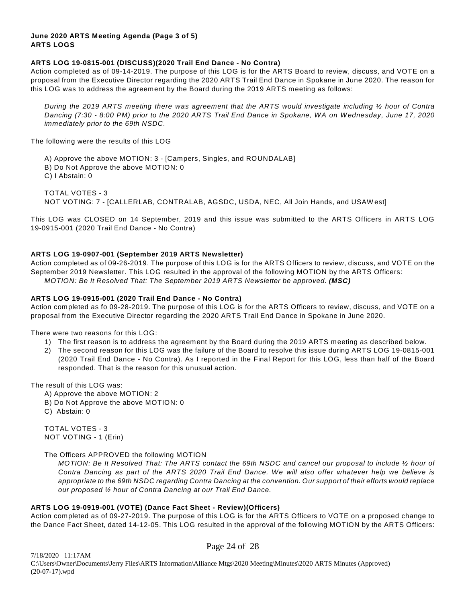### **June 2020 ARTS Meeting Agenda (Page 3 of 5) ARTS LOGS**

### **ARTS LOG 19-0815-001 (DISCUSS)(2020 Trail End Dance - No Contra)**

Action completed as of 09-14-2019. The purpose of this LOG is for the ARTS Board to review, discuss, and VOTE on a proposal from the Executive Director regarding the 2020 ARTS Trail End Dance in Spokane in June 2020. The reason for this LOG was to address the agreement by the Board during the 2019 ARTS meeting as follows:

*During the 2019 ARTS meeting there was agreement that the ARTS would investigate including ½ hour of Contra Dancing (7:30 - 8:00 PM) prior to the 2020 ARTS Trail End Dance in Spokane, WA on Wednesday, June 17, 2020 immediately prior to the 69th NSDC.*

The following were the results of this LOG

A) Approve the above MOTION: 3 - [Campers, Singles, and ROUNDALAB]

B) Do Not Approve the above MOTION: 0

C) I Abstain: 0

TOTAL VOTES - 3 NOT VOTING: 7 - [CALLERLAB, CONTRALAB, AGSDC, USDA, NEC, All Join Hands, and USAW est]

This LOG was CLOSED on 14 September, 2019 and this issue was submitted to the ARTS Officers in ARTS LOG 19-0915-001 (2020 Trail End Dance - No Contra)

### **ARTS LOG 19-0907-001 (September 2019 ARTS Newsletter)**

Action completed as of 09-26-2019. The purpose of this LOG is for the ARTS Officers to review, discuss, and VOTE on the September 2019 Newsletter. This LOG resulted in the approval of the following MOTION by the ARTS Officers: *MOTION: Be It Resolved That: The September 2019 ARTS Newsletter be approved. (MSC)* 

### **ARTS LOG 19-0915-001 (2020 Trail End Dance - No Contra)**

Action completed as fo 09-28-2019. The purpose of this LOG is for the ARTS Officers to review, discuss, and VOTE on a proposal from the Executive Director regarding the 2020 ARTS Trail End Dance in Spokane in June 2020.

There were two reasons for this LOG:

- 1) The first reason is to address the agreement by the Board during the 2019 ARTS meeting as described below.
- 2) The second reason for this LOG was the failure of the Board to resolve this issue during ARTS LOG 19-0815-001 (2020 Trail End Dance - No Contra). As I reported in the Final Report for this LOG, less than half of the Board responded. That is the reason for this unusual action.

The result of this LOG was:

- A) Approve the above MOTION: 2
- B) Do Not Approve the above MOTION: 0
- C) Abstain: 0

TOTAL VOTES - 3 NOT VOTING - 1 (Erin)

The Officers APPROVED the following MOTION

*MOTION: Be It Resolved That: The ARTS contact the 69th NSDC and cancel our proposal to include ½ hour of Contra Dancing as part of the ARTS 2020 Trail End Dance. We will also offer whatever help we believe is appropriate to the 69th NSDC regarding Contra Dancing at the convention. Our support of their efforts would replace our proposed ½ hour of Contra Dancing at our Trail End Dance.*

### **ARTS LOG 19-0919-001 (VOTE) (Dance Fact Sheet - Review)(Officers)**

Action completed as of 09-27-2019. The purpose of this LOG is for the ARTS Officers to VOTE on a proposed change to the Dance Fact Sheet, dated 14-12-05. This LOG resulted in the approval of the following MOTION by the ARTS Officers:

Page 24 of 28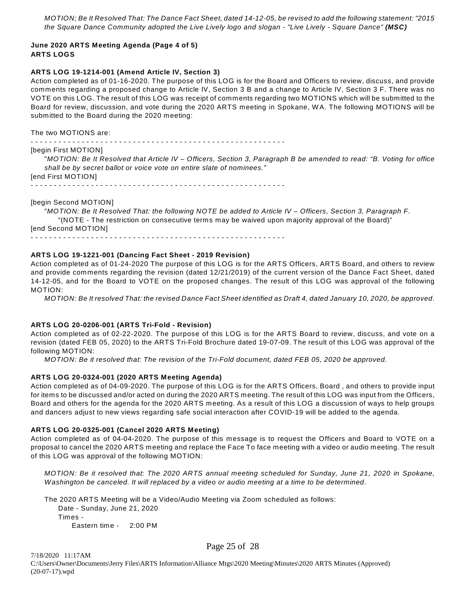*MOTION; Be It Resolved That: The Dance Fact Sheet, dated 14-12-05, be revised to add the following statement: "2015 the Square Dance Community adopted the Live Lively logo and slogan - "Live Lively - Square Dance" (MSC)* 

### **June 2020 ARTS Meeting Agenda (Page 4 of 5) ARTS LOGS**

#### **ARTS LOG 19-1214-001 (Amend Article IV, Section 3)**

Action completed as of 01-16-2020. The purpose of this LOG is for the Board and Officers to review, discuss, and provide comments regarding a proposed change to Article IV, Section 3 B and a change to Article IV, Section 3 F. There was no VOTE on this LOG. The result of this LOG was receipt of comments regarding two MOTIONS which will be submitted to the Board for review, discussion, and vote during the 2020 ARTS meeting in Spokane, W A. The following MOTIONS will be submitted to the Board during the 2020 meeting:

The two MOTIONS are:

- - - - - - - - - - - - - - - - - - - - - - - - - - - - - - - - - - - - - - - - - - - - - - - - - - - - - - -

#### [begin First MOTION]

"*MOTION: Be It Resolved that Article IV – Officers, Section 3, Paragraph B be amended to read: "B. Voting for office shall be by secret ballot or voice vote on entire slate of nominees."* [end First MOTION]

- - - - - - - - - - - - - - - - - - - - - - - - - - - - - - - - - - - - - - - - - - - - - - - - - - - - - - -

#### [begin Second MOTION]

"*MOTION: Be It Resolved That: the following NOTE be added to Article IV – Officers, Section 3, Paragraph F.* "(NOTE - The restriction on consecutive terms may be waived upon majority approval of the Board)" [end Second MOTION] - - - - - - - - - - - - - - - - - - - - - - - - - - - - - - - - - - - - - - - - - - - - - - - - - - - - - - -

#### **ARTS LOG 19-1221-001 (Dancing Fact Sheet - 2019 Revision)**

Action completed as of 01-24-2020 The purpose of this LOG is for the ARTS Officers, ARTS Board, and others to review and provide comments regarding the revision (dated 12/21/2019) of the current version of the Dance Fact Sheet, dated 14-12-05, and for the Board to VOTE on the proposed changes. The result of this LOG was approval of the following MOTION:

*MOTION: Be It resolved That: the revised Dance Fact Sheet identified as Draft 4, dated January 10, 2020, be approved.*

### **ARTS LOG 20-0206-001 (ARTS Tri-Fold - Revision)**

Action completed as of 02-22-2020. The purpose of this LOG is for the ARTS Board to review, discuss, and vote on a revision (dated FEB 05, 2020) to the ARTS Tri-Fold Brochure dated 19-07-09. The result of this LOG was approval of the following MOTION:

*MOTION: Be it resolved that: The revision of the Tri-Fold document, dated FEB 05, 2020 be approved.*

#### **ARTS LOG 20-0324-001 (2020 ARTS Meeting Agenda)**

Action completed as of 04-09-2020. The purpose of this LOG is for the ARTS Officers, Board , and others to provide input for items to be discussed and/or acted on during the 2020 ARTS meeting. The result of this LOG was input from the Officers, Board and others for the agenda for the 2020 ARTS meeting. As a result of this LOG a discussion of ways to help groups and dancers adjust to new views regarding safe social interaction after COVID-19 will be added to the agenda.

#### **ARTS LOG 20-0325-001 (Cancel 2020 ARTS Meeting)**

Action completed as of 04-04-2020. The purpose of this message is to request the Officers and Board to VOTE on a proposal to cancel the 2020 ARTS meeting and replace the Face To face meeting with a video or audio meeting. The result of this LOG was approval of the following MOTION:

*MOTION: Be it resolved that: The 2020 ARTS annual meeting scheduled for Sunday, June 21, 2020 in Spokane, Washington be canceled. It will replaced by a video or audio meeting at a time to be determined*.

The 2020 ARTS Meeting will be a Video/Audio Meeting via Zoom scheduled as follows: Date - Sunday, June 21, 2020 Times - Eastern time - 2:00 PM

Page 25 of 28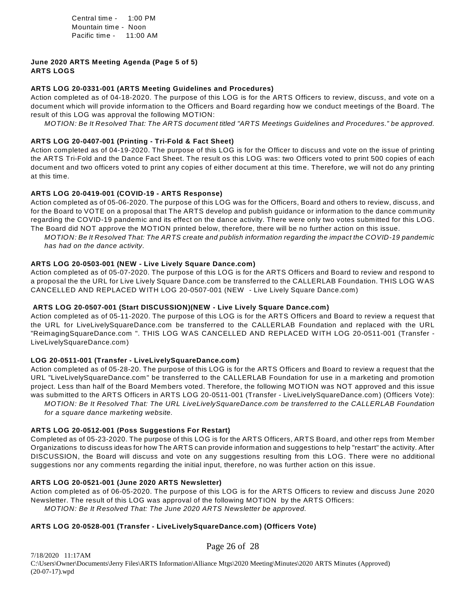Central time - 1:00 PM Mountain time - Noon Pacific time - 11:00 AM

#### **June 2020 ARTS Meeting Agenda (Page 5 of 5) ARTS LOGS**

### **ARTS LOG 20-0331-001 (ARTS Meeting Guidelines and Procedures)**

Action completed as of 04-18-2020. The purpose of this LOG is for the ARTS Officers to review, discuss, and vote on a document which will provide information to the Officers and Board regarding how we conduct meetings of the Board. The result of this LOG was approval the following MOTION:

*MOTION: Be It Resolved That: The ARTS document titled "ARTS Meetings Guidelines and Procedures." be approved.*

#### **ARTS LOG 20-0407-001 (Printing - Tri-Fold & Fact Sheet)**

Action completed as of 04-19-2020. The purpose of this LOG is for the Officer to discuss and vote on the issue of printing the ARTS Tri-Fold and the Dance Fact Sheet. The result os this LOG was: two Officers voted to print 500 copies of each document and two officers voted to print any copies of either document at this time. Therefore, we will not do any printing at this time.

#### **ARTS LOG 20-0419-001 (COVID-19 - ARTS Response)**

Action completed as of 05-06-2020. The purpose of this LOG was for the Officers, Board and others to review, discuss, and for the Board to VOTE on a proposal that The ARTS develop and publish guidance or information to the dance community regarding the COVID-19 pandemic and its effect on the dance activity. There were only two votes submitted for this LOG. The Board did NOT approve the MOTION printed below, therefore, there will be no further action on this issue.

*MOTION: Be It Resolved That: The ARTS create and publish information regarding the impact the COVID-19 pandemic has had on the dance activity.*

#### **ARTS LOG 20-0503-001 (NEW - Live Lively Square Dance.com)**

Action completed as of 05-07-2020. The purpose of this LOG is for the ARTS Officers and Board to review and respond to a proposal the the URL for Live Lively Square Dance.com be transferred to the CALLERLAB Foundation. THIS LOG W AS CANCELLED AND REPLACED W ITH LOG 20-0507-001 (NEW - Live Lively Square Dance.com)

### **ARTS LOG 20-0507-001 (Start DISCUSSION)(NEW - Live Lively Square Dance.com)**

Action completed as of 05-11-2020. The purpose of this LOG is for the ARTS Officers and Board to review a request that the URL for LiveLivelySquareDance.com be transferred to the CALLERLAB Foundation and replaced with the URL "ReimagingSquareDance.com ". THIS LOG W AS CANCELLED AND REPLACED W ITH LOG 20-0511-001 (Transfer - LiveLivelySquareDance.com)

### **LOG 20-0511-001 (Transfer - LiveLivelySquareDance.com)**

Action completed as of 05-28-20. The purpose of this LOG is for the ARTS Officers and Board to review a request that the URL "LiveLivelySquareDance.com" be transferred to the CALLERLAB Foundation for use in a marketing and promotion project. Less than half of the Board Members voted. Therefore, the following MOTION was NOT approved and this issue was submitted to the ARTS Officers in ARTS LOG 20-0511-001 (Transfer - LiveLivelySquareDance.com) (Officers Vote): *MOTION: Be It Resolved That: The URL LiveLivelySquareDance.com be transferred to the CALLERLAB Foundation for a square dance marketing website.*

#### **ARTS LOG 20-0512-001 (Poss Suggestions For Restart)**

Completed as of 05-23-2020. The purpose of this LOG is for the ARTS Officers, ARTS Board, and other reps from Member Organizations to discuss ideas for how The ARTS can provide information and suggestions to help "restart" the activity. After DISCUSSION, the Board will discuss and vote on any suggestions resulting from this LOG. There were no additional suggestions nor any comments regarding the initial input, therefore, no was further action on this issue.

#### **ARTS LOG 20-0521-001 (June 2020 ARTS Newsletter)**

Action completed as of 06-05-2020. The purpose of this LOG is for the ARTS Officers to review and discuss June 2020 Newsletter. The result of this LOG was approval of the following MOTION by the ARTS Officers: *MOTION: Be It Resolved That: The June 2020 ARTS Newsletter be approved.*

### **ARTS LOG 20-0528-001 (Transfer - LiveLivelySquareDance.com) (Officers Vote)**

Page 26 of 28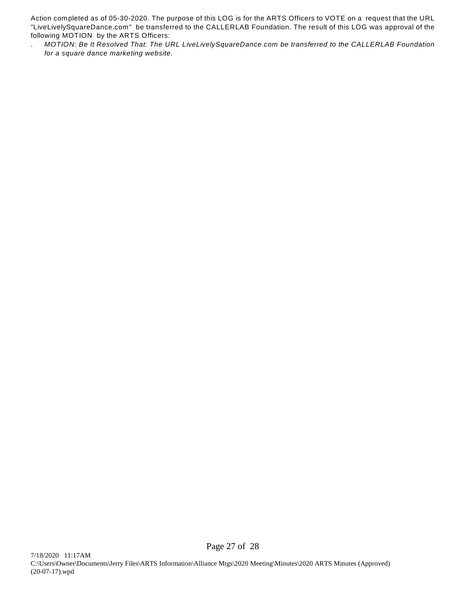Action completed as of 05-30-2020. The purpose of this LOG is for the ARTS Officers to VOTE on a request that the URL "LiveLivelySquareDance.com" be transferred to the CALLERLAB Foundation. The result of this LOG was approval of the following MOTION by the ARTS Officers:

. *MOTION: Be It Resolved That: The URL LiveLivelySquareDance.com be transferred to the CALLERLAB Foundation for a square dance marketing website.*